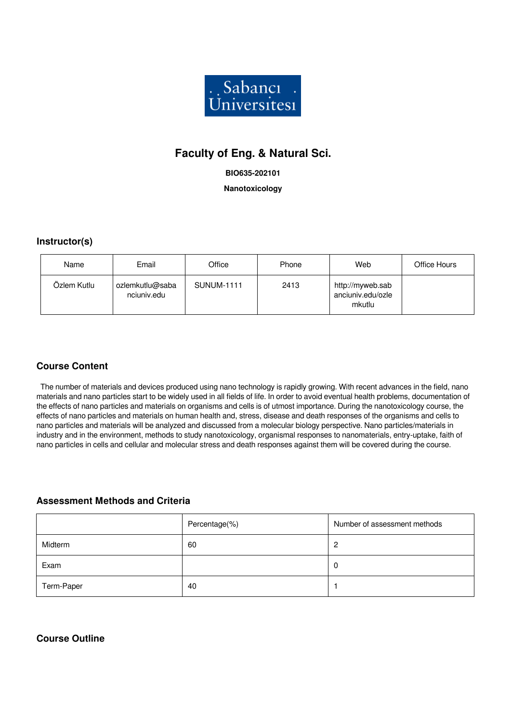

# **Faculty of Eng. & Natural Sci.**

#### **BIO635-202101**

#### **Nanotoxicology**

### **Instructor(s)**

| Name        | Email                          | Office            | Phone | Web                                             | Office Hours |
|-------------|--------------------------------|-------------------|-------|-------------------------------------------------|--------------|
| Özlem Kutlu | ozlemkutlu@saba<br>nciuniv.edu | <b>SUNUM-1111</b> | 2413  | http://myweb.sab<br>anciuniv.edu/ozle<br>mkutlu |              |

### **Course Content**

 The number of materials and devices produced using nano technology is rapidly growing. With recent advances in the field, nano materials and nano particles start to be widely used in all fields of life. In order to avoid eventual health problems, documentation of the effects of nano particles and materials on organisms and cells is of utmost importance. During the nanotoxicology course, the effects of nano particles and materials on human health and, stress, disease and death responses of the organisms and cells to nano particles and materials will be analyzed and discussed from a molecular biology perspective. Nano particles/materials in industry and in the environment, methods to study nanotoxicology, organismal responses to nanomaterials, entry-uptake, faith of nano particles in cells and cellular and molecular stress and death responses against them will be covered during the course.

### **Assessment Methods and Criteria**

|            | Percentage(%) | Number of assessment methods |
|------------|---------------|------------------------------|
| Midterm    | 60            | 2                            |
| Exam       |               | -0                           |
| Term-Paper | 40            |                              |

## **Course Outline**